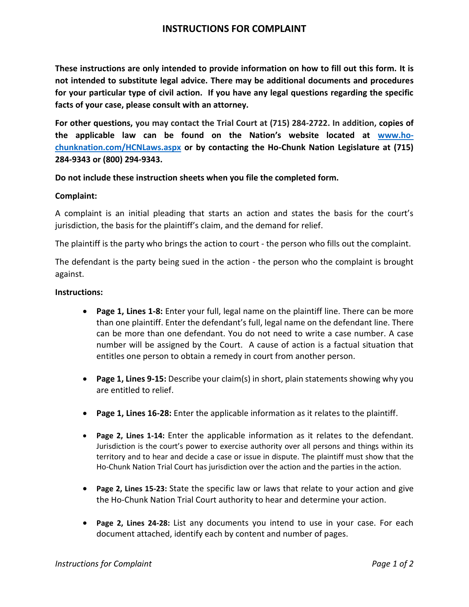## **INSTRUCTIONS FOR COMPLAINT**

**These instructions are only intended to provide information on how to fill out this form. It is not intended to substitute legal advice. There may be additional documents and procedures for your particular type of civil action. If you have any legal questions regarding the specific facts of your case, please consult with an attorney.** 

**For other questions, you may contact the Trial Court at (715) 284-2722. In addition, copies of the applicable law can be found on the Nation's website located at [www.ho](http://www.ho-chunknation.com/HCNLaws.aspx)[chunknation.com/HCNLaws.aspx](http://www.ho-chunknation.com/HCNLaws.aspx) or by contacting the Ho-Chunk Nation Legislature at (715) 284-9343 or (800) 294-9343.** 

**Do not include these instruction sheets when you file the completed form.** 

### **Complaint:**

A complaint is an initial pleading that starts an action and states the basis for the court's jurisdiction, the basis for the plaintiff's claim, and the demand for relief.

The plaintiff is the party who brings the action to court - the person who fills out the complaint.

The defendant is the party being sued in the action - the person who the complaint is brought against.

#### **Instructions:**

- **Page 1, Lines 1-8:** Enter your full, legal name on the plaintiff line. There can be more than one plaintiff. Enter the defendant's full, legal name on the defendant line. There can be more than one defendant. You do not need to write a case number. A case number will be assigned by the Court. A cause of action is a factual situation that entitles one person to obtain a remedy in court from another person.
- **Page 1, Lines 9-15:** Describe your claim(s) in short, plain statements showing why you are entitled to relief.
- **Page 1, Lines 16-28:** Enter the applicable information as it relates to the plaintiff.
- **Page 2, Lines 1-14:** Enter the applicable information as it relates to the defendant. Jurisdiction is the court's power to exercise authority over all persons and things within its territory and to hear and decide a case or issue in dispute. The plaintiff must show that the Ho-Chunk Nation Trial Court has jurisdiction over the action and the parties in the action.
- **Page 2, Lines 15-23:** State the specific law or laws that relate to your action and give the Ho-Chunk Nation Trial Court authority to hear and determine your action.
- **Page 2, Lines 24-28:** List any documents you intend to use in your case. For each document attached, identify each by content and number of pages.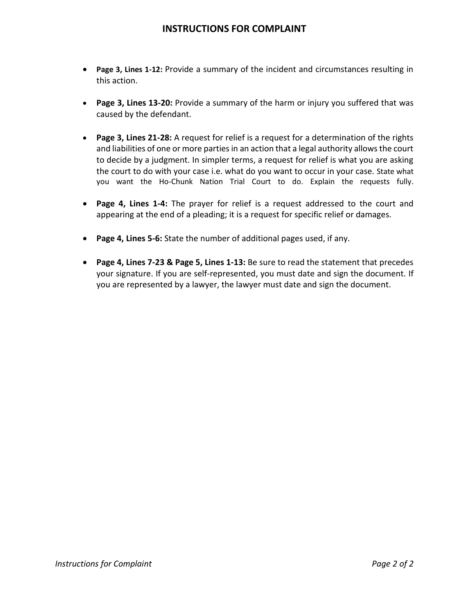## **INSTRUCTIONS FOR COMPLAINT**

- **Page 3, Lines 1-12:** Provide a summary of the incident and circumstances resulting in this action.
- **Page 3, Lines 13-20:** Provide a summary of the harm or injury you suffered that was caused by the defendant.
- **Page 3, Lines 21-28:** A request for relief is a request for a determination of the rights and liabilities of one or more parties in an action that a legal authority allows the court to decide by a judgment. In simpler terms, a request for relief is what you are asking the court to do with your case i.e. what do you want to occur in your case. State what you want the Ho-Chunk Nation Trial Court to do. Explain the requests fully.
- **Page 4, Lines 1-4:** The prayer for relief is a request addressed to the court and appearing at the end of a pleading; it is a request for specific relief or damages.
- **Page 4, Lines 5-6:** State the number of additional pages used, if any.
- **Page 4, Lines 7-23 & Page 5, Lines 1-13:** Be sure to read the statement that precedes your signature. If you are self-represented, you must date and sign the document. If you are represented by a lawyer, the lawyer must date and sign the document.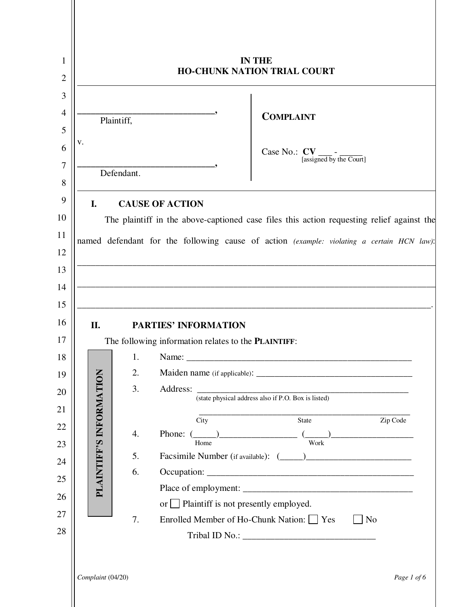|                             | <b>IN THE</b><br><b>HO-CHUNK NATION TRIAL COURT</b>                                                                                                                                                                                                                                                                                                                                                                                         |
|-----------------------------|---------------------------------------------------------------------------------------------------------------------------------------------------------------------------------------------------------------------------------------------------------------------------------------------------------------------------------------------------------------------------------------------------------------------------------------------|
| V.<br>I.                    | <b>COMPLAINT</b><br>Plaintiff,<br>[assigned by the Court]<br>Defendant.<br><b>CAUSE OF ACTION</b>                                                                                                                                                                                                                                                                                                                                           |
| II.                         | The plaintiff in the above-captioned case files this action requesting relief against the<br>named defendant for the following cause of action (example: violating a certain HCN law):<br>the control of the control of the control of the control of the control of the control of<br><u> 1989 - Johann Stein, marwolaethau a bhann an t-Amhainn an t-Amhainn an t-Amhainn an t-Amhainn an t-Amhainn an</u><br><b>PARTIES' INFORMATION</b> |
| Š<br>PLAINTIFF'S INFORMATIO | The following information relates to the <b>PLAINTIFF</b> :<br>1.<br>2.<br>3.<br>Address:<br>(state physical address also if P.O. Box is listed)<br>Zip Code<br>State<br>City<br>4.<br>Phone: $(\_\_)$<br>Work<br>Home<br>5.<br>6.<br>or Plaintiff is not presently employed.<br>7.<br>Enrolled Member of Ho-Chunk Nation: □ Yes<br>N <sub>o</sub>                                                                                          |
| Complaint (04/20)           | Page 1 of 6                                                                                                                                                                                                                                                                                                                                                                                                                                 |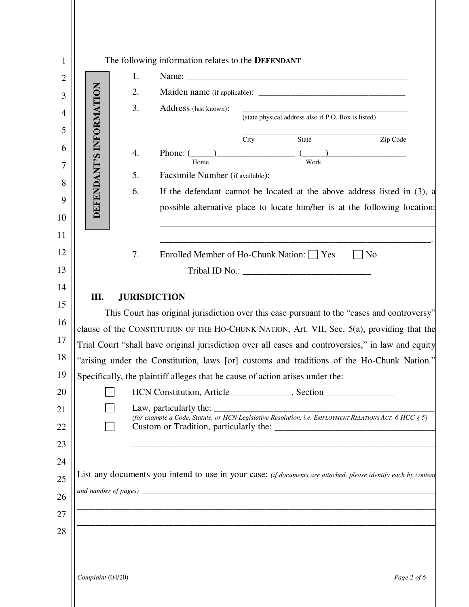|                         | 1.             |                                                                                                                                                                                                                                                                                                                                                                                                                                                                                |
|-------------------------|----------------|--------------------------------------------------------------------------------------------------------------------------------------------------------------------------------------------------------------------------------------------------------------------------------------------------------------------------------------------------------------------------------------------------------------------------------------------------------------------------------|
|                         | 2.             |                                                                                                                                                                                                                                                                                                                                                                                                                                                                                |
|                         | 3.             | Address (last known):<br>(state physical address also if P.O. Box is listed)                                                                                                                                                                                                                                                                                                                                                                                                   |
| DEFENDANT'S INFORMATION | 4.<br>5.<br>6. | Zip Code<br>City<br>State<br>Phone: $\frac{1}{\text{Home}}$ $\frac{1}{\text{Work}}$ $\frac{1}{\text{Work}}$ $\frac{1}{\text{Work}}$<br>If the defendant cannot be located at the above address listed in $(3)$ , a<br>possible alternative place to locate him/her is at the following location:                                                                                                                                                                               |
|                         | 7.             | Enrolled Member of Ho-Chunk Nation: The Yes<br>$\vert$   No                                                                                                                                                                                                                                                                                                                                                                                                                    |
|                         |                | This Court has original jurisdiction over this case pursuant to the "cases and controversy"<br>clause of the CONSTITUTION OF THE HO-CHUNK NATION, Art. VII, Sec. 5(a), providing that the<br>Trial Court "shall have original jurisdiction over all cases and controversies," in law and equity<br>"arising under the Constitution, laws [or] customs and traditions of the Ho-Chunk Nation."<br>Specifically, the plaintiff alleges that he cause of action arises under the: |
|                         |                | HCN Constitution, Article _____________, Section ________________________________                                                                                                                                                                                                                                                                                                                                                                                              |
|                         |                | (for example a Code, Statute, or HCN Legislative Resolution, i.e. EMPLOYMENT RELATIONS ACT, 6 HCC § 5)                                                                                                                                                                                                                                                                                                                                                                         |
|                         |                |                                                                                                                                                                                                                                                                                                                                                                                                                                                                                |
|                         |                | List any documents you intend to use in your case: (if documents are attached, please identify each by content<br>and number of pages) $\frac{1}{\sqrt{1-\frac{1}{n}}}\left\{ \frac{1}{n} \right\}$                                                                                                                                                                                                                                                                            |

Ш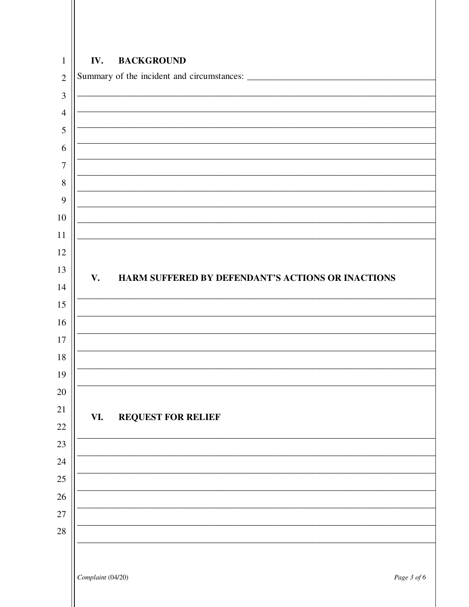# IV. **BACKGROUND**  $\mathbf{1}$  $\overline{2}$  $\overline{3}$  $\overline{4}$  $\overline{7}$  $8\,$ V. HARM SUFFERED BY DEFENDANT'S ACTIONS OR INACTIONS **REQUEST FOR RELIEF** VI. Complaint (04/20) Page 3 of 6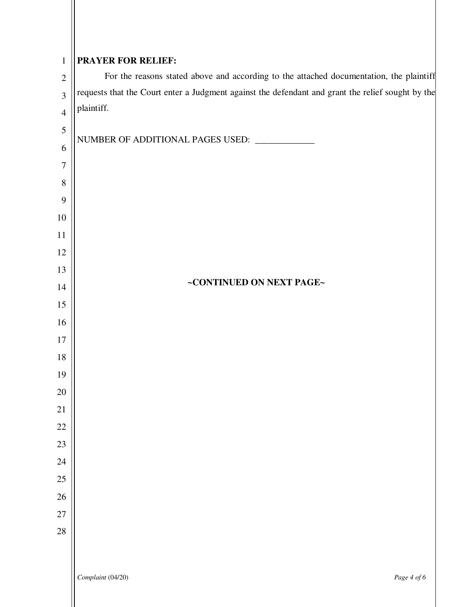| $\mathbf{1}$     | <b>PRAYER FOR RELIEF:</b>                                                                         |  |
|------------------|---------------------------------------------------------------------------------------------------|--|
| $\sqrt{2}$       | For the reasons stated above and according to the attached documentation, the plaintiff           |  |
| $\overline{3}$   | requests that the Court enter a Judgment against the defendant and grant the relief sought by the |  |
| $\overline{4}$   | plaintiff.                                                                                        |  |
| $\mathfrak{S}$   |                                                                                                   |  |
| 6                | NUMBER OF ADDITIONAL PAGES USED: ___________                                                      |  |
| $\boldsymbol{7}$ |                                                                                                   |  |
| $8\,$            |                                                                                                   |  |
| 9                |                                                                                                   |  |
| 10               |                                                                                                   |  |
| 11               |                                                                                                   |  |
| 12               |                                                                                                   |  |
| 13               |                                                                                                   |  |
| 14               | ~CONTINUED ON NEXT PAGE~                                                                          |  |
| 15               |                                                                                                   |  |
| 16               |                                                                                                   |  |
| $17\,$           |                                                                                                   |  |
| $18\,$           |                                                                                                   |  |
| 19               |                                                                                                   |  |
| $20\,$           |                                                                                                   |  |
| 21               |                                                                                                   |  |
| $22\,$           |                                                                                                   |  |
| $23\,$           |                                                                                                   |  |
| $24\,$<br>$25\,$ |                                                                                                   |  |
| $26\,$           |                                                                                                   |  |
| $27\,$           |                                                                                                   |  |
| $28\,$           |                                                                                                   |  |
|                  |                                                                                                   |  |
|                  |                                                                                                   |  |
|                  | Complaint (04/20)<br>Page 4 of 6                                                                  |  |
|                  |                                                                                                   |  |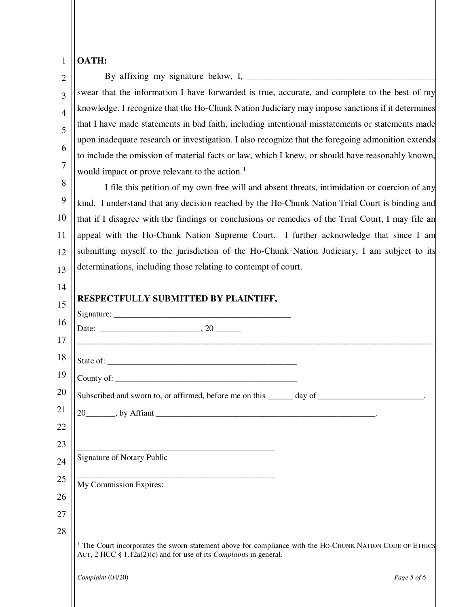| $\mathbf{1}$   | OATH:                                                                                                                                                                                               |
|----------------|-----------------------------------------------------------------------------------------------------------------------------------------------------------------------------------------------------|
| 2              |                                                                                                                                                                                                     |
| 3              | swear that the information I have forwarded is true, accurate, and complete to the best of my                                                                                                       |
| $\overline{4}$ | knowledge. I recognize that the Ho-Chunk Nation Judiciary may impose sanctions if it determines                                                                                                     |
| 5              | that I have made statements in bad faith, including intentional misstatements or statements made                                                                                                    |
| 6              | upon inadequate research or investigation. I also recognize that the foregoing admonition extends                                                                                                   |
| 7              | to include the omission of material facts or law, which I knew, or should have reasonably known,                                                                                                    |
| 8              | would impact or prove relevant to the action. <sup>1</sup>                                                                                                                                          |
| 9              | I file this petition of my own free will and absent threats, intimidation or coercion of any                                                                                                        |
| 10             | kind. I understand that any decision reached by the Ho-Chunk Nation Trial Court is binding and<br>that if I disagree with the findings or conclusions or remedies of the Trial Court, I may file an |
| 11             | appeal with the Ho-Chunk Nation Supreme Court. I further acknowledge that since I am                                                                                                                |
| 12             | submitting myself to the jurisdiction of the Ho-Chunk Nation Judiciary, I am subject to its                                                                                                         |
| 13             | determinations, including those relating to contempt of court.                                                                                                                                      |
|                |                                                                                                                                                                                                     |
| 14             | RESPECTFULLY SUBMITTED BY PLAINTIFF,                                                                                                                                                                |
| 15             |                                                                                                                                                                                                     |
| 16             |                                                                                                                                                                                                     |
| 17             |                                                                                                                                                                                                     |
| 18             |                                                                                                                                                                                                     |
| 19             | County of:                                                                                                                                                                                          |
| 20             | Subscribed and sworn to, or affirmed, before me on this ______ day of ______________________________                                                                                                |
| 21             |                                                                                                                                                                                                     |
| 22             |                                                                                                                                                                                                     |
| 23             | <u> 1989 - Johann Harry Harry Harry Harry Harry Harry Harry Harry Harry Harry Harry Harry Harry Harry Harry Harry</u>                                                                               |
| 24             | Signature of Notary Public                                                                                                                                                                          |
| 25             | <u> 1989 - Johann Barbara, margaret eta idazlearia (h. 1989).</u><br>My Commission Expires:                                                                                                         |
| 26             |                                                                                                                                                                                                     |
| 27             |                                                                                                                                                                                                     |
| 28             |                                                                                                                                                                                                     |
|                | The Court incorporates the sworn statement above for compliance with the HO-CHUNK NATION CODE OF ETHICS<br>ACT, 2 HCC § 1.12a(2)(c) and for use of its <i>Complaints</i> in general.                |

<span id="page-6-0"></span>*Complaint* (04/20) *Page 5 of 6*